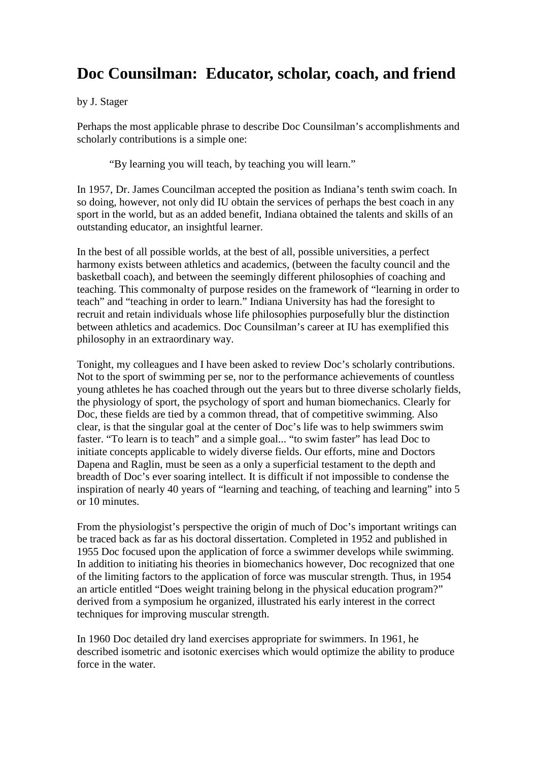## **Doc Counsilman: Educator, scholar, coach, and friend**

by J. Stager

Perhaps the most applicable phrase to describe Doc Counsilman's accomplishments and scholarly contributions is a simple one:

"By learning you will teach, by teaching you will learn."

In 1957, Dr. James Councilman accepted the position as Indiana's tenth swim coach. In so doing, however, not only did IU obtain the services of perhaps the best coach in any sport in the world, but as an added benefit, Indiana obtained the talents and skills of an outstanding educator, an insightful learner.

In the best of all possible worlds, at the best of all, possible universities, a perfect harmony exists between athletics and academics, (between the faculty council and the basketball coach), and between the seemingly different philosophies of coaching and teaching. This commonalty of purpose resides on the framework of "learning in order to teach" and "teaching in order to learn." Indiana University has had the foresight to recruit and retain individuals whose life philosophies purposefully blur the distinction between athletics and academics. Doc Counsilman's career at IU has exemplified this philosophy in an extraordinary way.

Tonight, my colleagues and I have been asked to review Doc's scholarly contributions. Not to the sport of swimming per se, nor to the performance achievements of countless young athletes he has coached through out the years but to three diverse scholarly fields, the physiology of sport, the psychology of sport and human biomechanics. Clearly for Doc, these fields are tied by a common thread, that of competitive swimming. Also clear, is that the singular goal at the center of Doc's life was to help swimmers swim faster. "To learn is to teach" and a simple goal... "to swim faster" has lead Doc to initiate concepts applicable to widely diverse fields. Our efforts, mine and Doctors Dapena and Raglin, must be seen as a only a superficial testament to the depth and breadth of Doc's ever soaring intellect. It is difficult if not impossible to condense the inspiration of nearly 40 years of "learning and teaching, of teaching and learning" into 5 or 10 minutes.

From the physiologist's perspective the origin of much of Doc's important writings can be traced back as far as his doctoral dissertation. Completed in 1952 and published in 1955 Doc focused upon the application of force a swimmer develops while swimming. In addition to initiating his theories in biomechanics however, Doc recognized that one of the limiting factors to the application of force was muscular strength. Thus, in 1954 an article entitled "Does weight training belong in the physical education program?" derived from a symposium he organized, illustrated his early interest in the correct techniques for improving muscular strength.

In 1960 Doc detailed dry land exercises appropriate for swimmers. In 1961, he described isometric and isotonic exercises which would optimize the ability to produce force in the water.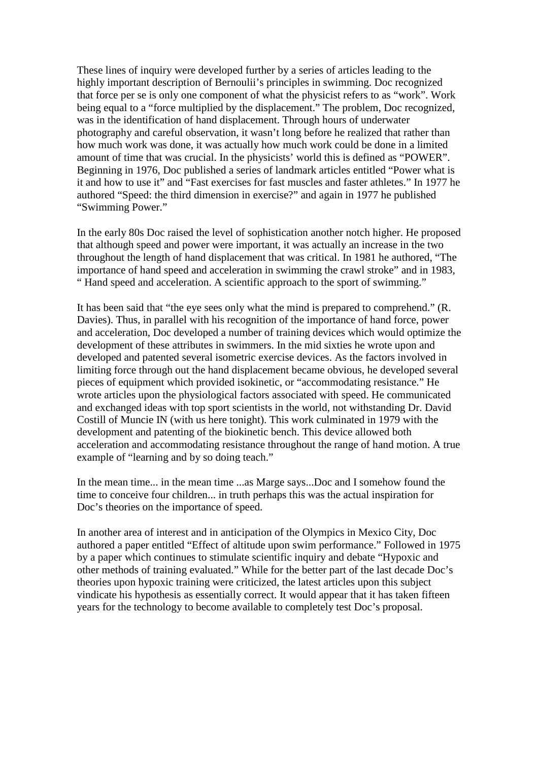These lines of inquiry were developed further by a series of articles leading to the highly important description of Bernoulii's principles in swimming. Doc recognized that force per se is only one component of what the physicist refers to as "work". Work being equal to a "force multiplied by the displacement." The problem, Doc recognized, was in the identification of hand displacement. Through hours of underwater photography and careful observation, it wasn't long before he realized that rather than how much work was done, it was actually how much work could be done in a limited amount of time that was crucial. In the physicists' world this is defined as "POWER". Beginning in 1976, Doc published a series of landmark articles entitled "Power what is it and how to use it" and "Fast exercises for fast muscles and faster athletes." In 1977 he authored "Speed: the third dimension in exercise?" and again in 1977 he published "Swimming Power."

In the early 80s Doc raised the level of sophistication another notch higher. He proposed that although speed and power were important, it was actually an increase in the two throughout the length of hand displacement that was critical. In 1981 he authored, "The importance of hand speed and acceleration in swimming the crawl stroke" and in 1983, " Hand speed and acceleration. A scientific approach to the sport of swimming."

It has been said that "the eye sees only what the mind is prepared to comprehend." (R. Davies). Thus, in parallel with his recognition of the importance of hand force, power and acceleration, Doc developed a number of training devices which would optimize the development of these attributes in swimmers. In the mid sixties he wrote upon and developed and patented several isometric exercise devices. As the factors involved in limiting force through out the hand displacement became obvious, he developed several pieces of equipment which provided isokinetic, or "accommodating resistance." He wrote articles upon the physiological factors associated with speed. He communicated and exchanged ideas with top sport scientists in the world, not withstanding Dr. David Costill of Muncie IN (with us here tonight). This work culminated in 1979 with the development and patenting of the biokinetic bench. This device allowed both acceleration and accommodating resistance throughout the range of hand motion. A true example of "learning and by so doing teach."

In the mean time... in the mean time ...as Marge says...Doc and I somehow found the time to conceive four children... in truth perhaps this was the actual inspiration for Doc's theories on the importance of speed.

In another area of interest and in anticipation of the Olympics in Mexico City, Doc authored a paper entitled "Effect of altitude upon swim performance." Followed in 1975 by a paper which continues to stimulate scientific inquiry and debate "Hypoxic and other methods of training evaluated." While for the better part of the last decade Doc's theories upon hypoxic training were criticized, the latest articles upon this subject vindicate his hypothesis as essentially correct. It would appear that it has taken fifteen years for the technology to become available to completely test Doc's proposal.